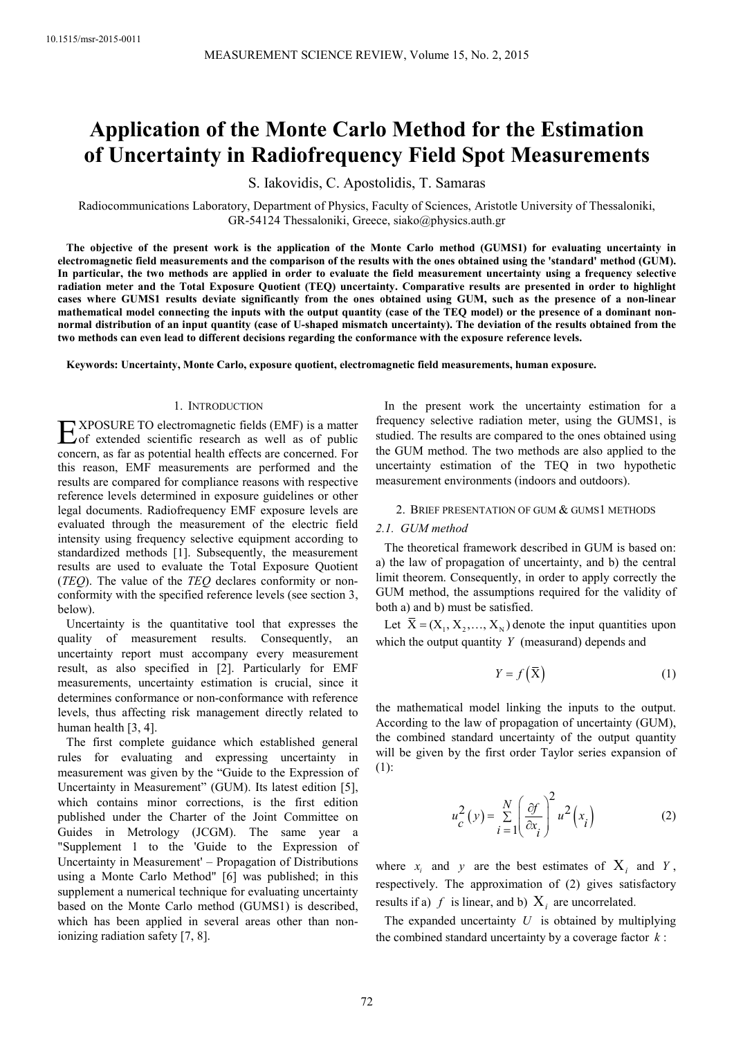# **Application of the Monte Carlo Method for the Estimation of Uncertainty in Radiofrequency Field Spot Measurements**

S. Iakovidis, C. Apostolidis, T. Samaras

Radiocommunications Laboratory, Department of Physics, Faculty of Sciences, Aristotle University of Thessaloniki, GR-54124 Thessaloniki, Greece, siako@physics.auth.gr

**The objective of the present work is the application of the Monte Carlo method (GUMS1) for evaluating uncertainty in electromagnetic field measurements and the comparison of the results with the ones obtained using the 'standard' method (GUM). In particular, the two methods are applied in order to evaluate the field measurement uncertainty using a frequency selective radiation meter and the Total Exposure Quotient (TEQ) uncertainty. Comparative results are presented in order to highlight cases where GUMS1 results deviate significantly from the ones obtained using GUM, such as the presence of a non-linear mathematical model connecting the inputs with the output quantity (case of the TEQ model) or the presence of a dominant nonnormal distribution of an input quantity (case of U-shaped mismatch uncertainty). The deviation of the results obtained from the two methods can even lead to different decisions regarding the conformance with the exposure reference levels.** 

**Keywords: Uncertainty, Monte Carlo, exposure quotient, electromagnetic field measurements, human exposure.** 

## 1. INTRODUCTION

XPOSURE TO electromagnetic fields (EMF) is a matter  $\sum$  XPOSURE TO electromagnetic fields (EMF) is a matter<br>of extended scientific research as well as of public<br> $\sum$ concern, as far as potential health effects are concerned. For this reason, EMF measurements are performed and the results are compared for compliance reasons with respective reference levels determined in exposure guidelines or other legal documents. Radiofrequency EMF exposure levels are evaluated through the measurement of the electric field intensity using frequency selective equipment according to standardized methods [1]. Subsequently, the measurement results are used to evaluate the Total Exposure Quotient (*TEQ*). The value of the *TEQ* declares conformity or nonconformity with the specified reference levels (see section 3, below).

Uncertainty is the quantitative tool that expresses the quality of measurement results. Consequently, an uncertainty report must accompany every measurement result, as also specified in [2]. Particularly for EMF measurements, uncertainty estimation is crucial, since it determines conformance or non-conformance with reference levels, thus affecting risk management directly related to human health [3, 4].

The first complete guidance which established general rules for evaluating and expressing uncertainty in measurement was given by the "Guide to the Expression of Uncertainty in Measurement" (GUM). Its latest edition [5], which contains minor corrections, is the first edition published under the Charter of the Joint Committee on Guides in Metrology (JCGM). The same year a "Supplement 1 to the 'Guide to the Expression of Uncertainty in Measurement' – Propagation of Distributions using a Monte Carlo Method" [6] was published; in this supplement a numerical technique for evaluating uncertainty based on the Monte Carlo method (GUMS1) is described, which has been applied in several areas other than nonionizing radiation safety [7, 8].

In the present work the uncertainty estimation for a frequency selective radiation meter, using the GUMS1, is studied. The results are compared to the ones obtained using the GUM method. The two methods are also applied to the uncertainty estimation of the TEQ in two hypothetic measurement environments (indoors and outdoors).

### 2. BRIEF PRESENTATION OF GUM & GUMS1 METHODS

#### *2.1. GUM method*

The theoretical framework described in GUM is based on: a) the law of propagation of uncertainty, and b) the central limit theorem. Consequently, in order to apply correctly the GUM method, the assumptions required for the validity of both a) and b) must be satisfied.

Let  $\bar{X} = (X_1, X_2, \dots, X_N)$  denote the input quantities upon which the output quantity *Y* (measurand) depends and

$$
Y = f\left(\overline{\mathbf{X}}\right) \tag{1}
$$

the mathematical model linking the inputs to the output. According to the law of propagation of uncertainty (GUM), the combined standard uncertainty of the output quantity will be given by the first order Taylor series expansion of (1):

$$
u_c^2(y) = \sum_{i=1}^N \left(\frac{\partial f}{\partial x_i}\right)^2 u^2(x_i)
$$
 (2)

where  $x_i$  and  $y$  are the best estimates of  $X_i$  and  $Y$ , respectively. The approximation of (2) gives satisfactory results if a)  $f$  is linear, and b)  $X_i$  are uncorrelated.

The expanded uncertainty *U* is obtained by multiplying the combined standard uncertainty by a coverage factor *k* :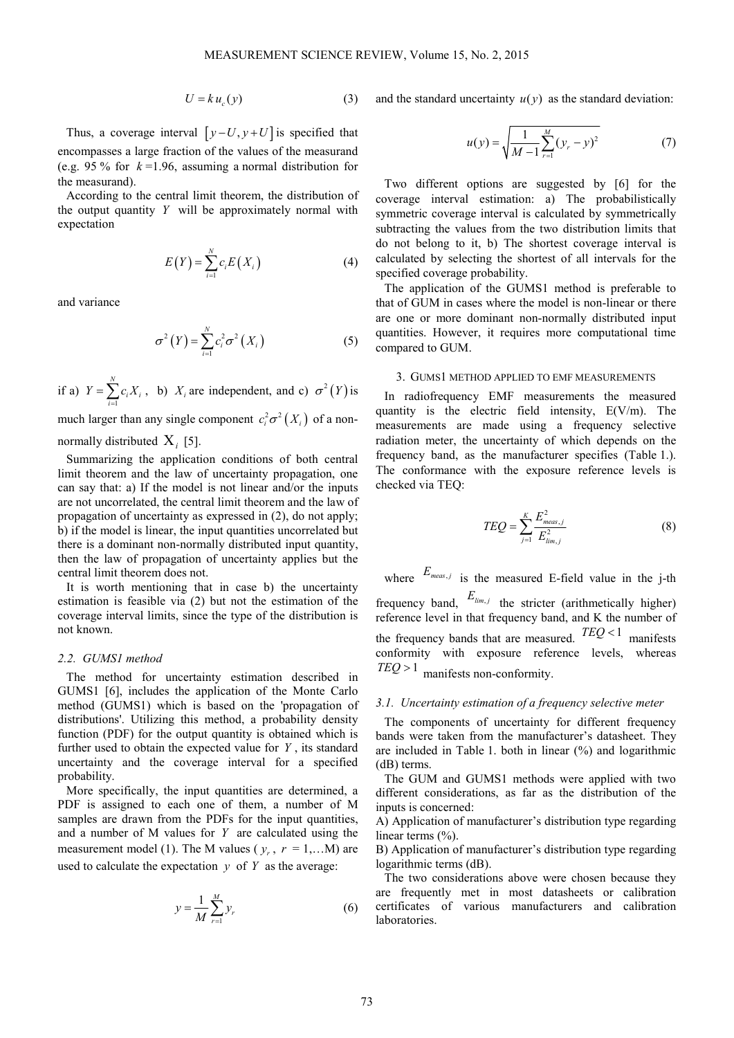$$
U = k u_c(y) \tag{3}
$$

Thus, a coverage interval  $[y-U, y+U]$  is specified that encompasses a large fraction of the values of the measurand (e.g. 95 % for *k* =1.96, assuming a normal distribution for the measurand).

According to the central limit theorem, the distribution of the output quantity *Y* will be approximately normal with expectation

$$
E(Y) = \sum_{i=1}^{N} c_i E(X_i)
$$
 (4)

and variance

$$
\sigma^2(Y) = \sum_{i=1}^N c_i^2 \sigma^2(X_i)
$$
 (5)

if a) 1 *N*  $\sum_{i=1}$ **c**<sub>i</sub> $\sum_i$ **i**  $Y = \sum c_i X_i$  $=\sum_{i=1}c_iX_i$ , b)  $X_i$  are independent, and c)  $\sigma^2(Y)$  is

much larger than any single component  $c_i^2 \sigma^2(X_i)$  of a non-

normally distributed Χ*<sup>i</sup>* [5].

Summarizing the application conditions of both central limit theorem and the law of uncertainty propagation, one can say that: a) If the model is not linear and/or the inputs are not uncorrelated, the central limit theorem and the law of propagation of uncertainty as expressed in (2), do not apply; b) if the model is linear, the input quantities uncorrelated but there is a dominant non-normally distributed input quantity, then the law of propagation of uncertainty applies but the central limit theorem does not.

It is worth mentioning that in case b) the uncertainty estimation is feasible via (2) but not the estimation of the coverage interval limits, since the type of the distribution is not known.

# *2.2. GUMS1 method*

The method for uncertainty estimation described in GUMS1 [6], includes the application of the Monte Carlo method (GUMS1) which is based on the 'propagation of distributions'. Utilizing this method, a probability density function (PDF) for the output quantity is obtained which is further used to obtain the expected value for *Y* , its standard uncertainty and the coverage interval for a specified probability.

More specifically, the input quantities are determined, a PDF is assigned to each one of them, a number of M samples are drawn from the PDFs for the input quantities, and a number of M values for *Y* are calculated using the measurement model (1). The M values ( $y_r$ ,  $r = 1,...M$ ) are used to calculate the expectation  $y$  of  $Y$  as the average:

$$
y = \frac{1}{M} \sum_{r=1}^{M} y_r
$$
 (6)

and the standard uncertainty  $u(y)$  as the standard deviation:

$$
u(y) = \sqrt{\frac{1}{M-1} \sum_{r=1}^{M} (y_r - y)^2}
$$
 (7)

Two different options are suggested by [6] for the coverage interval estimation: a) The probabilistically symmetric coverage interval is calculated by symmetrically subtracting the values from the two distribution limits that do not belong to it, b) The shortest coverage interval is calculated by selecting the shortest of all intervals for the specified coverage probability.

The application of the GUMS1 method is preferable to that of GUM in cases where the model is non-linear or there are one or more dominant non-normally distributed input quantities. However, it requires more computational time compared to GUM.

## 3. GUMS1 METHOD APPLIED TO EMF MEASUREMENTS

In radiofrequency EMF measurements the measured quantity is the electric field intensity, E(V/m). The measurements are made using a frequency selective radiation meter, the uncertainty of which depends on the frequency band, as the manufacturer specifies (Table 1.). The conformance with the exposure reference levels is checked via TEQ:

$$
TEQ = \sum_{j=1}^{K} \frac{E_{meas,j}^2}{E_{lim,j}^2}
$$
 (8)

where  $E_{meas,j}$  is the measured E-field value in the j-th frequency band,  $E_{\text{lim},j}$  the stricter (arithmetically higher) reference level in that frequency band, and Κ the number of the frequency bands that are measured.  $TEQ < 1$  manifests conformity with exposure reference levels, whereas *TEQ* > 1 manifests non-conformity.

#### *3.1. Uncertainty estimation of a frequency selective meter*

The components of uncertainty for different frequency bands were taken from the manufacturer's datasheet. They are included in Table 1. both in linear  $(\%)$  and logarithmic (dB) terms.

The GUM and GUMS1 methods were applied with two different considerations, as far as the distribution of the inputs is concerned:

A) Application of manufacturer's distribution type regarding linear terms  $(\% )$ .

B) Application of manufacturer's distribution type regarding logarithmic terms (dB).

The two considerations above were chosen because they are frequently met in most datasheets or calibration certificates of various manufacturers and calibration laboratories.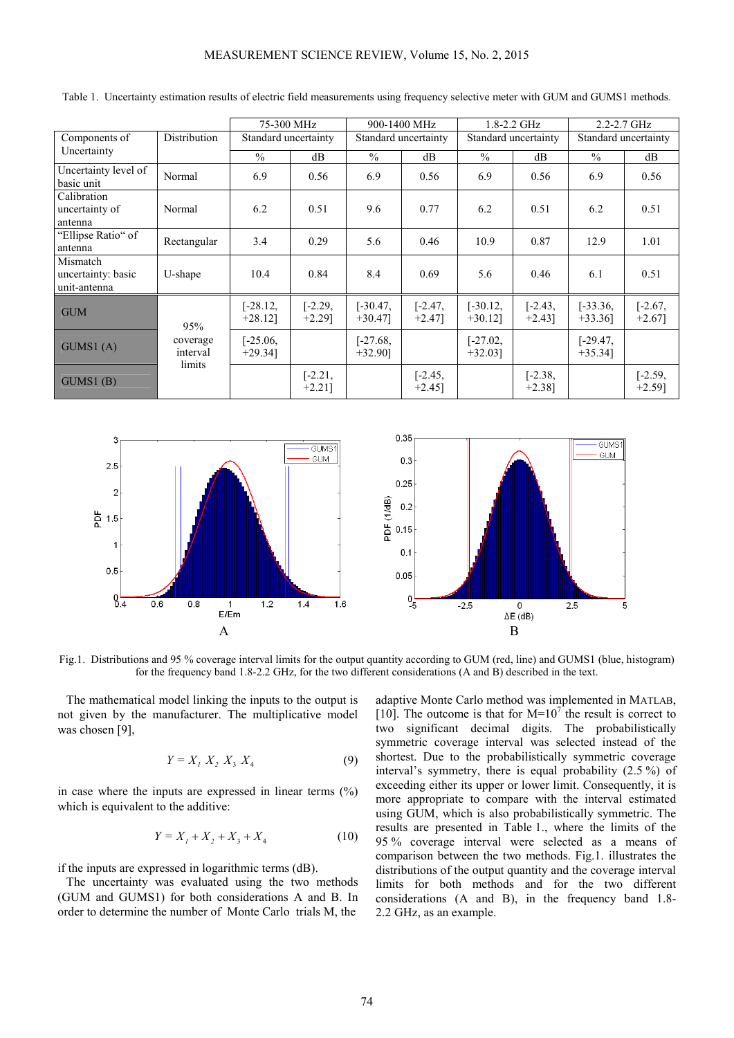|                                                |                      | 75-300 MHz               |                        | 900-1400 MHz             |                        | $1.8 - 2.2$ GHz          |                        | $2.2 - 2.7$ GHz          |                        |
|------------------------------------------------|----------------------|--------------------------|------------------------|--------------------------|------------------------|--------------------------|------------------------|--------------------------|------------------------|
| Components of<br>Uncertainty                   | Distribution         | Standard uncertainty     |                        | Standard uncertainty     |                        | Standard uncertainty     |                        | Standard uncertainty     |                        |
|                                                |                      | $\%$                     | dB                     | $\frac{0}{0}$            | dB                     | $\frac{0}{0}$            | dB                     | $\frac{0}{0}$            | dB                     |
| Uncertainty level of<br>basic unit             | Normal               | 6.9                      | 0.56                   | 6.9                      | 0.56                   | 6.9                      | 0.56                   | 6.9                      | 0.56                   |
| Calibration<br>uncertainty of<br>antenna       | Normal               | 6.2                      | 0.51                   | 9.6                      | 0.77                   | 6.2                      | 0.51                   | 6.2                      | 0.51                   |
| "Ellipse Ratio" of<br>antenna                  | Rectangular          | 3.4                      | 0.29                   | 5.6                      | 0.46                   | 10.9                     | 0.87                   | 12.9                     | 1.01                   |
| Mismatch<br>uncertainty: basic<br>unit-antenna | U-shape              | 10.4                     | 0.84                   | 8.4                      | 0.69                   | 5.6                      | 0.46                   | 6.1                      | 0.51                   |
| <b>GUM</b>                                     | 95%                  | $[-28.12,$<br>$+28.12$ ] | $[-2.29,$<br>$+2.29$ ] | $[-30.47,$<br>$+30.47$ ] | $[-2.47,$<br>$+2.47$ ] | $[-30.12,$<br>$+30.12$ ] | $[-2.43,$<br>$+2.43$ ] | $[-33.36,$<br>$+33.36$   | $[-2.67,$<br>$+2.67$ ] |
| GUMS1(A)                                       | coverage<br>interval | $[-25.06,$<br>$+29.34$ ] |                        | $[-27.68,$<br>$+32.90$ ] |                        | $[-27.02,$<br>$+32.03$ ] |                        | $[-29.47,$<br>$+35.34$ ] |                        |
| GUMS1(B)                                       | limits               |                          | $[-2.21,$<br>$+2.21$ ] |                          | $[-2.45,$<br>$+2.45$ ] |                          | $[-2.38,$<br>$+2.38$ ] |                          | $[-2.59,$<br>$+2.59$ ] |

Table 1. Uncertainty estimation results of electric field measurements using frequency selective meter with GUM and GUMS1 methods.



Fig.1. Distributions and 95 % coverage interval limits for the output quantity according to GUM (red, line) and GUMS1 (blue, histogram) for the frequency band 1.8-2.2 GHz, for the two different considerations (A and B) described in the text.

The mathematical model linking the inputs to the output is not given by the manufacturer. The multiplicative model was chosen [9],

$$
Y = X_1 \, X_2 \, X_3 \, X_4 \tag{9}
$$

in case where the inputs are expressed in linear terms  $(\%)$ which is equivalent to the additive:

$$
Y = X_1 + X_2 + X_3 + X_4 \tag{10}
$$

if the inputs are expressed in logarithmic terms (dB).

The uncertainty was evaluated using the two methods (GUM and GUMS1) for both considerations A and B. In order to determine the number of Monte Carlo trials M, the

adaptive Monte Carlo method was implemented in MATLAB, [10]. The outcome is that for  $M=10<sup>7</sup>$  the result is correct to two significant decimal digits. The probabilistically symmetric coverage interval was selected instead of the shortest. Due to the probabilistically symmetric coverage interval's symmetry, there is equal probability (2.5 %) of exceeding either its upper or lower limit. Consequently, it is more appropriate to compare with the interval estimated using GUM, which is also probabilistically symmetric. The results are presented in Table 1., where the limits of the 95 % coverage interval were selected as a means of comparison between the two methods. Fig.1. illustrates the distributions of the output quantity and the coverage interval limits for both methods and for the two different considerations (A and B), in the frequency band 1.8- 2.2 GHz, as an example.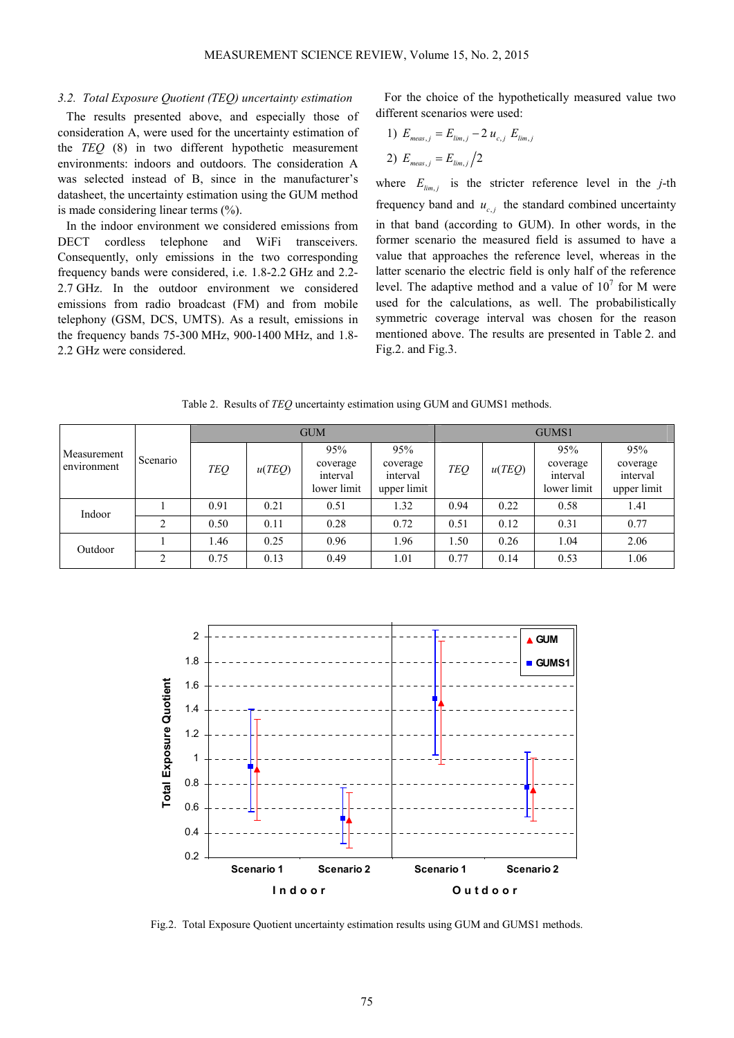### *3.2. Total Exposure Quotient (TEQ) uncertainty estimation*

The results presented above, and especially those of consideration A, were used for the uncertainty estimation of the *TEQ* (8) in two different hypothetic measurement environments: indoors and outdoors. The consideration A was selected instead of B, since in the manufacturer's datasheet, the uncertainty estimation using the GUM method is made considering linear terms  $(\% )$ .

In the indoor environment we considered emissions from DECT cordless telephone and WiFi transceivers. Consequently, only emissions in the two corresponding frequency bands were considered, i.e. 1.8-2.2 GHz and 2.2- 2.7 GHz. In the outdoor environment we considered emissions from radio broadcast (FM) and from mobile telephony (GSM, DCS, UMTS). As a result, emissions in the frequency bands 75-300 MHz, 900-1400 MHz, and 1.8- 2.2 GHz were considered.

For the choice of the hypothetically measured value two different scenarios were used:

1) 
$$
E_{meas,j} = E_{lim,j} - 2 u_{c,j} E_{lim,j}
$$
  
2)  $E_{meas,j} = E_{lim,j}/2$ 

where  $E_{\text{lim, }j}$  is the stricter reference level in the *j*-th frequency band and  $u_{c,j}$  the standard combined uncertainty in that band (according to GUM). In other words, in the former scenario the measured field is assumed to have a value that approaches the reference level, whereas in the latter scenario the electric field is only half of the reference level. The adaptive method and a value of  $10<sup>7</sup>$  for M were used for the calculations, as well. The probabilistically symmetric coverage interval was chosen for the reason mentioned above. The results are presented in Table 2. and Fig.2. and Fig.3.

Table 2. Results of *TEQ* uncertainty estimation using GUM and GUMS1 methods.

| Measurement<br>environment | Scenario       | <b>GUM</b> |        |                                            |                                            | GUMS1      |        |                                            |                                            |  |
|----------------------------|----------------|------------|--------|--------------------------------------------|--------------------------------------------|------------|--------|--------------------------------------------|--------------------------------------------|--|
|                            |                | <b>TEQ</b> | u(TEQ) | 95%<br>coverage<br>interval<br>lower limit | 95%<br>coverage<br>interval<br>upper limit | <b>TEQ</b> | u(TEQ) | 95%<br>coverage<br>interval<br>lower limit | 95%<br>coverage<br>interval<br>upper limit |  |
| Indoor                     |                | 0.91       | 0.21   | 0.51                                       | 1.32                                       | 0.94       | 0.22   | 0.58                                       | 1.41                                       |  |
|                            | 2              | 0.50       | 0.11   | 0.28                                       | 0.72                                       | 0.51       | 0.12   | 0.31                                       | 0.77                                       |  |
| Outdoor                    |                | 1.46       | 0.25   | 0.96                                       | 1.96                                       | 1.50       | 0.26   | 1.04                                       | 2.06                                       |  |
|                            | $\mathfrak{D}$ | 0.75       | 0.13   | 0.49                                       | 1.01                                       | 0.77       | 0.14   | 0.53                                       | 1.06                                       |  |



Fig.2. Total Exposure Quotient uncertainty estimation results using GUM and GUMS1 methods.